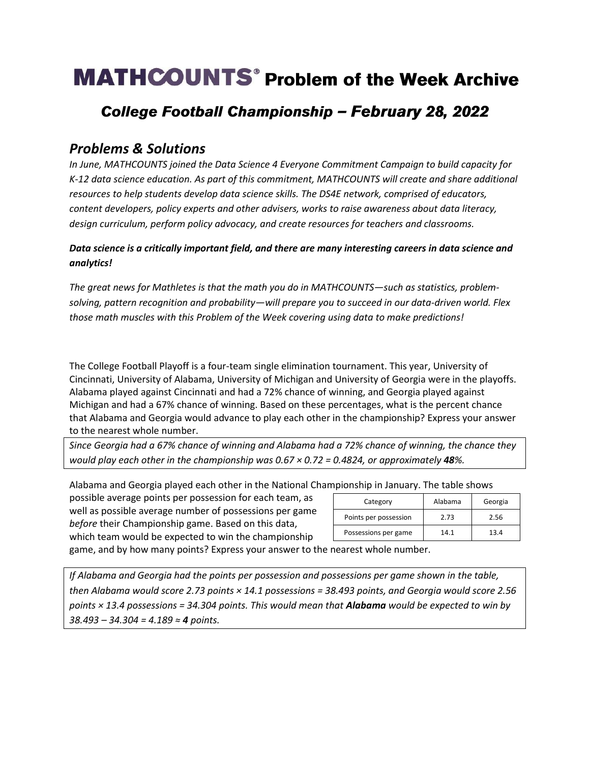# **MATHCOUNTS**<sup>®</sup> Problem of the Week Archive

## College Football Championship - February 28, 2022

### *Problems & Solutions*

*In June, MATHCOUNTS joined the Data Science 4 Everyone Commitment Campaign to build capacity for K-12 data science education. As part of this commitment, MATHCOUNTS will create and share additional resources to help students develop data science skills. The DS4E network, comprised of educators, content developers, policy experts and other advisers, works to raise awareness about data literacy, design curriculum, perform policy advocacy, and create resources for teachers and classrooms.*

#### *Data science is a critically important field, and there are many interesting careers in data science and analytics!*

*The great news for Mathletes is that the math you do in MATHCOUNTS—such as statistics, problemsolving, pattern recognition and probability—will prepare you to succeed in our data-driven world. Flex those math muscles with this Problem of the Week covering using data to make predictions!*

The College Football Playoff is a four-team single elimination tournament. This year, University of Cincinnati, University of Alabama, University of Michigan and University of Georgia were in the playoffs. Alabama played against Cincinnati and had a 72% chance of winning, and Georgia played against Michigan and had a 67% chance of winning. Based on these percentages, what is the percent chance that Alabama and Georgia would advance to play each other in the championship? Express your answer to the nearest whole number.

*Since Georgia had a 67% chance of winning and Alabama had a 72% chance of winning, the chance they would play each other in the championship was 0.67 × 0.72 = 0.4824, or approximately 48%.*

Alabama and Georgia played each other in the National Championship in January. The table shows

possible average points per possession for each team, as well as possible average number of possessions per game *before* their Championship game. Based on this data, which team would be expected to win the championship

| Category              | Alabama | Georgia |
|-----------------------|---------|---------|
| Points per possession | 2.73    | 2.56    |
| Possessions per game  | 14.1    | 13.4    |

game, and by how many points? Express your answer to the nearest whole number.

*If Alabama and Georgia had the points per possession and possessions per game shown in the table, then Alabama would score 2.73 points × 14.1 possessions = 38.493 points, and Georgia would score 2.56 points × 13.4 possessions = 34.304 points. This would mean that Alabama would be expected to win by 38.493 – 34.304 = 4.189 ≈ 4 points.*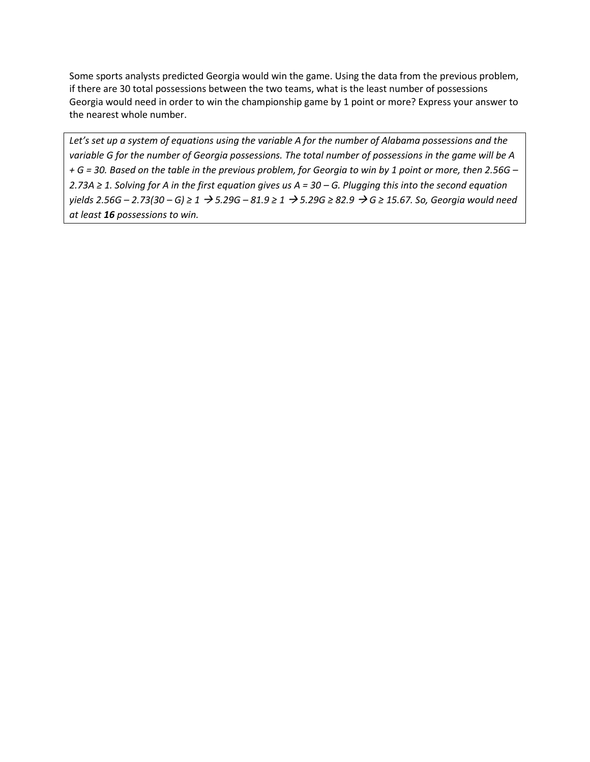Some sports analysts predicted Georgia would win the game. Using the data from the previous problem, if there are 30 total possessions between the two teams, what is the least number of possessions Georgia would need in order to win the championship game by 1 point or more? Express your answer to the nearest whole number.

*Let's set up a system of equations using the variable A for the number of Alabama possessions and the variable G for the number of Georgia possessions. The total number of possessions in the game will be A + G = 30. Based on the table in the previous problem, for Georgia to win by 1 point or more, then 2.56G – 2.73A ≥ 1. Solving for A in the first equation gives us A = 30 – G. Plugging this into the second equation*  yields 2.56G - 2.73(30 - G) ≥ 1  $\rightarrow$  5.29G - 81.9 ≥ 1  $\rightarrow$  5.29G ≥ 82.9  $\rightarrow$  G ≥ 15.67. So, Georgia would need *at least 16 possessions to win.*